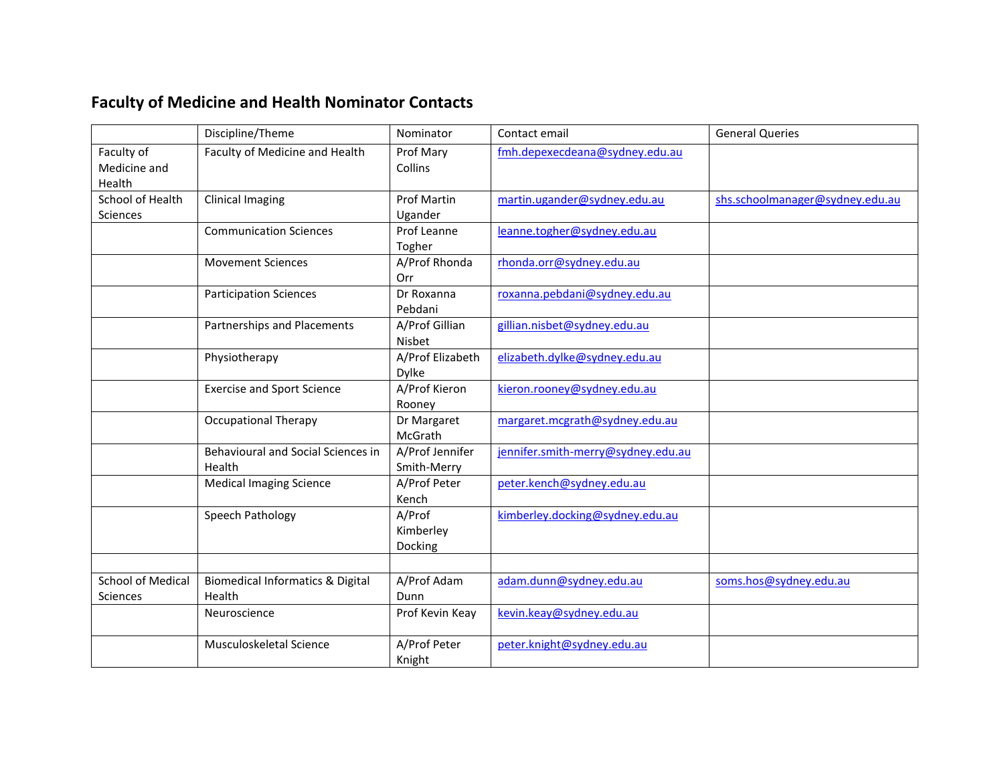## **Faculty of Medicine and Health Nominator Contacts**

|                                      | Discipline/Theme                                      | Nominator                      | Contact email                      | <b>General Queries</b>          |
|--------------------------------------|-------------------------------------------------------|--------------------------------|------------------------------------|---------------------------------|
| Faculty of<br>Medicine and<br>Health | Faculty of Medicine and Health                        | Prof Mary<br>Collins           | fmh.depexecdeana@sydney.edu.au     |                                 |
| School of Health<br>Sciences         | <b>Clinical Imaging</b>                               | <b>Prof Martin</b><br>Ugander  | martin.ugander@sydney.edu.au       | shs.schoolmanager@sydney.edu.au |
|                                      | <b>Communication Sciences</b>                         | Prof Leanne<br>Togher          | leanne.togher@sydney.edu.au        |                                 |
|                                      | <b>Movement Sciences</b>                              | A/Prof Rhonda<br>Orr           | rhonda.orr@sydney.edu.au           |                                 |
|                                      | <b>Participation Sciences</b>                         | Dr Roxanna<br>Pebdani          | roxanna.pebdani@sydney.edu.au      |                                 |
|                                      | Partnerships and Placements                           | A/Prof Gillian<br>Nisbet       | gillian.nisbet@sydney.edu.au       |                                 |
|                                      | Physiotherapy                                         | A/Prof Elizabeth<br>Dylke      | elizabeth.dylke@sydney.edu.au      |                                 |
|                                      | <b>Exercise and Sport Science</b>                     | A/Prof Kieron<br>Rooney        | kieron.rooney@sydney.edu.au        |                                 |
|                                      | <b>Occupational Therapy</b>                           | Dr Margaret<br>McGrath         | margaret.mcgrath@sydney.edu.au     |                                 |
|                                      | Behavioural and Social Sciences in<br>Health          | A/Prof Jennifer<br>Smith-Merry | jennifer.smith-merry@sydney.edu.au |                                 |
|                                      | <b>Medical Imaging Science</b>                        | A/Prof Peter<br>Kench          | peter.kench@sydney.edu.au          |                                 |
|                                      | Speech Pathology                                      | A/Prof<br>Kimberley<br>Docking | kimberley.docking@sydney.edu.au    |                                 |
| <b>School of Medical</b>             |                                                       | A/Prof Adam                    |                                    | soms.hos@sydney.edu.au          |
| <b>Sciences</b>                      | <b>Biomedical Informatics &amp; Digital</b><br>Health | Dunn                           | adam.dunn@sydney.edu.au            |                                 |
|                                      | Neuroscience                                          | Prof Kevin Keay                | kevin.keay@sydney.edu.au           |                                 |
|                                      | Musculoskeletal Science                               | A/Prof Peter<br>Knight         | peter.knight@sydney.edu.au         |                                 |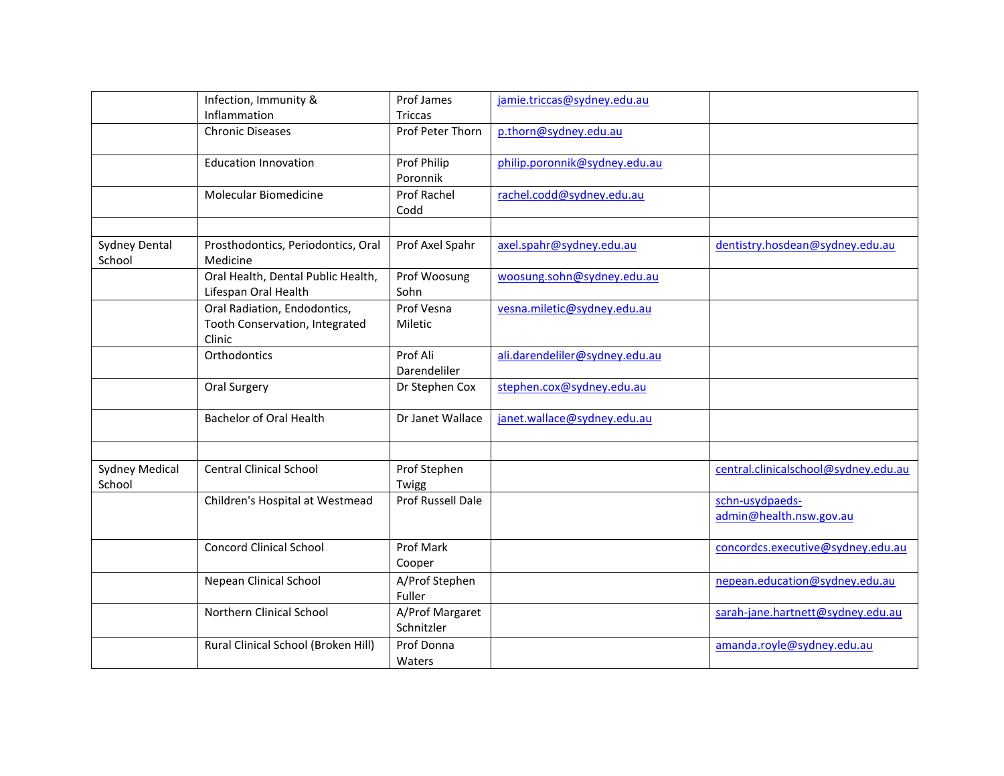|                                 | Infection, Immunity &                                                    | Prof James                    | jamie.triccas@sydney.edu.au    |                                            |
|---------------------------------|--------------------------------------------------------------------------|-------------------------------|--------------------------------|--------------------------------------------|
|                                 | Inflammation                                                             | <b>Triccas</b>                |                                |                                            |
|                                 | <b>Chronic Diseases</b>                                                  | Prof Peter Thorn              | p.thorn@sydney.edu.au          |                                            |
|                                 | <b>Education Innovation</b>                                              | Prof Philip<br>Poronnik       | philip.poronnik@sydney.edu.au  |                                            |
|                                 | Molecular Biomedicine                                                    | <b>Prof Rachel</b><br>Codd    | rachel.codd@sydney.edu.au      |                                            |
|                                 |                                                                          |                               |                                |                                            |
| Sydney Dental<br>School         | Prosthodontics, Periodontics, Oral<br>Medicine                           | Prof Axel Spahr               | axel.spahr@sydney.edu.au       | dentistry.hosdean@sydney.edu.au            |
|                                 | Oral Health, Dental Public Health,<br>Lifespan Oral Health               | Prof Woosung<br>Sohn          | woosung.sohn@sydney.edu.au     |                                            |
|                                 | Oral Radiation, Endodontics,<br>Tooth Conservation, Integrated<br>Clinic | Prof Vesna<br>Miletic         | vesna.miletic@sydney.edu.au    |                                            |
|                                 | Orthodontics                                                             | Prof Ali<br>Darendeliler      | ali.darendeliler@sydney.edu.au |                                            |
|                                 | Oral Surgery                                                             | Dr Stephen Cox                | stephen.cox@sydney.edu.au      |                                            |
|                                 | <b>Bachelor of Oral Health</b>                                           | Dr Janet Wallace              | janet.wallace@sydney.edu.au    |                                            |
|                                 |                                                                          |                               |                                |                                            |
| <b>Sydney Medical</b><br>School | <b>Central Clinical School</b>                                           | Prof Stephen<br>Twigg         |                                | central.clinicalschool@sydney.edu.au       |
|                                 | Children's Hospital at Westmead                                          | <b>Prof Russell Dale</b>      |                                | schn-usydpaeds-<br>admin@health.nsw.gov.au |
|                                 | <b>Concord Clinical School</b>                                           | Prof Mark<br>Cooper           |                                | concordcs.executive@sydney.edu.au          |
|                                 | Nepean Clinical School                                                   | A/Prof Stephen<br>Fuller      |                                | nepean.education@sydney.edu.au             |
|                                 | <b>Northern Clinical School</b>                                          | A/Prof Margaret<br>Schnitzler |                                | sarah-jane.hartnett@sydney.edu.au          |
|                                 | Rural Clinical School (Broken Hill)                                      | Prof Donna<br>Waters          |                                | amanda.royle@sydney.edu.au                 |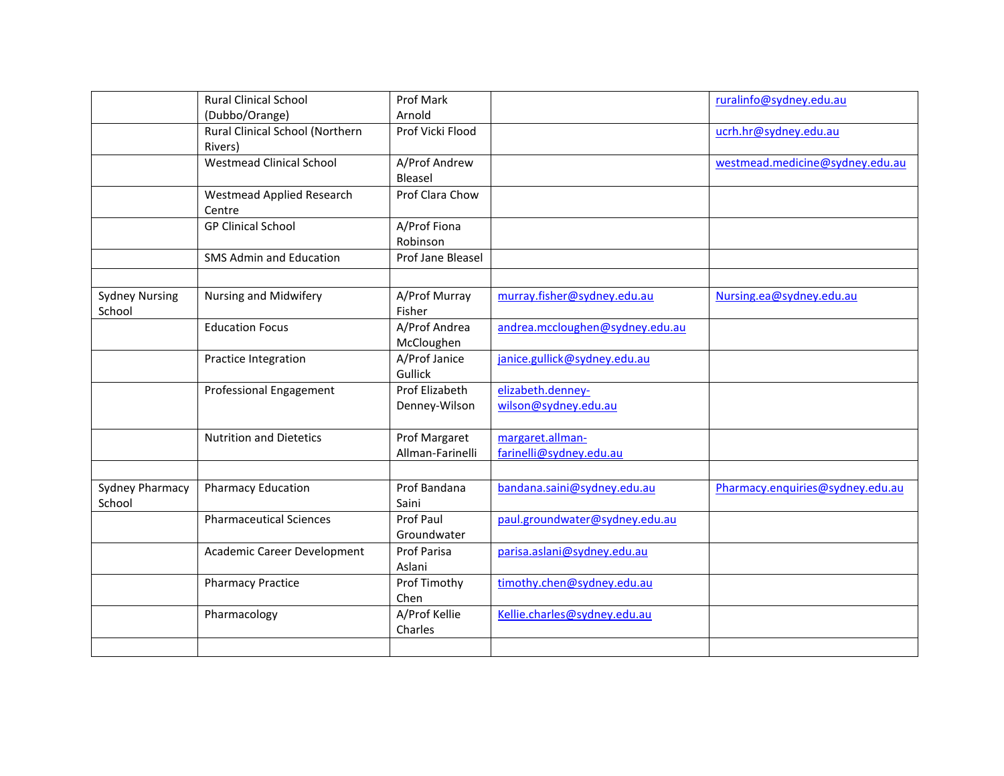|                                 | <b>Rural Clinical School</b>               | Prof Mark                         |                                             | ruralinfo@sydney.edu.au          |
|---------------------------------|--------------------------------------------|-----------------------------------|---------------------------------------------|----------------------------------|
|                                 | (Dubbo/Orange)                             | Arnold                            |                                             |                                  |
|                                 | Rural Clinical School (Northern            | Prof Vicki Flood                  |                                             | ucrh.hr@sydney.edu.au            |
|                                 | Rivers)                                    |                                   |                                             |                                  |
|                                 | <b>Westmead Clinical School</b>            | A/Prof Andrew<br>Bleasel          |                                             | westmead.medicine@sydney.edu.au  |
|                                 | <b>Westmead Applied Research</b><br>Centre | Prof Clara Chow                   |                                             |                                  |
|                                 | <b>GP Clinical School</b>                  | A/Prof Fiona<br>Robinson          |                                             |                                  |
|                                 | <b>SMS Admin and Education</b>             | Prof Jane Bleasel                 |                                             |                                  |
|                                 |                                            |                                   |                                             |                                  |
| <b>Sydney Nursing</b><br>School | Nursing and Midwifery                      | A/Prof Murray<br>Fisher           | murray.fisher@sydney.edu.au                 | Nursing.ea@sydney.edu.au         |
|                                 | <b>Education Focus</b>                     | A/Prof Andrea<br>McCloughen       | andrea.mccloughen@sydney.edu.au             |                                  |
|                                 | Practice Integration                       | A/Prof Janice<br>Gullick          | janice.gullick@sydney.edu.au                |                                  |
|                                 | <b>Professional Engagement</b>             | Prof Elizabeth<br>Denney-Wilson   | elizabeth.denney-<br>wilson@sydney.edu.au   |                                  |
|                                 | <b>Nutrition and Dietetics</b>             | Prof Margaret<br>Allman-Farinelli | margaret.allman-<br>farinelli@sydney.edu.au |                                  |
|                                 |                                            |                                   |                                             |                                  |
| Sydney Pharmacy<br>School       | <b>Pharmacy Education</b>                  | Prof Bandana<br>Saini             | bandana.saini@sydney.edu.au                 | Pharmacy.enquiries@sydney.edu.au |
|                                 | <b>Pharmaceutical Sciences</b>             | <b>Prof Paul</b><br>Groundwater   | paul.groundwater@sydney.edu.au              |                                  |
|                                 | Academic Career Development                | Prof Parisa<br>Aslani             | parisa.aslani@sydney.edu.au                 |                                  |
|                                 | <b>Pharmacy Practice</b>                   | Prof Timothy<br>Chen              | timothy.chen@sydney.edu.au                  |                                  |
|                                 | Pharmacology                               | A/Prof Kellie<br>Charles          | Kellie.charles@sydney.edu.au                |                                  |
|                                 |                                            |                                   |                                             |                                  |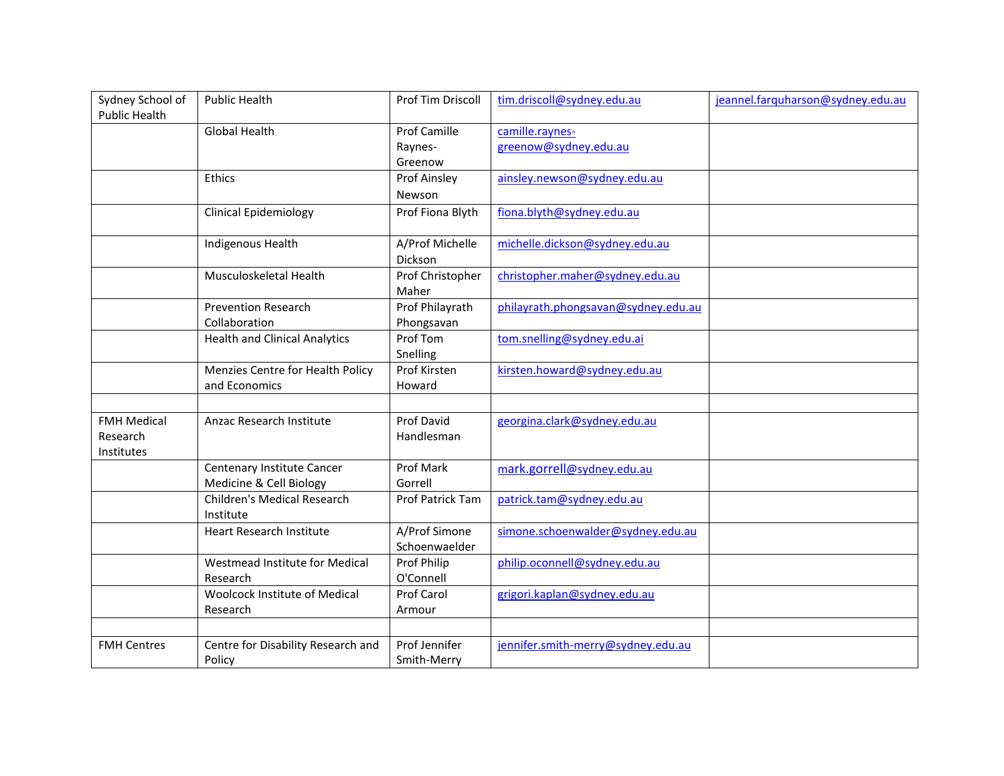| Sydney School of     | <b>Public Health</b>                 | Prof Tim Driscoll   | tim.driscoll@sydney.edu.au          | jeannel.farquharson@sydney.edu.au |
|----------------------|--------------------------------------|---------------------|-------------------------------------|-----------------------------------|
| <b>Public Health</b> |                                      |                     |                                     |                                   |
|                      | <b>Global Health</b>                 | <b>Prof Camille</b> | camille.raynes-                     |                                   |
|                      |                                      | Raynes-             | greenow@sydney.edu.au               |                                   |
|                      |                                      | Greenow             |                                     |                                   |
|                      | Ethics                               | Prof Ainsley        | ainsley.newson@sydney.edu.au        |                                   |
|                      |                                      | Newson              |                                     |                                   |
|                      | <b>Clinical Epidemiology</b>         | Prof Fiona Blyth    | fiona.blyth@sydney.edu.au           |                                   |
|                      | Indigenous Health                    | A/Prof Michelle     | michelle.dickson@sydney.edu.au      |                                   |
|                      |                                      | Dickson             |                                     |                                   |
|                      | Musculoskeletal Health               | Prof Christopher    | christopher.maher@sydney.edu.au     |                                   |
|                      |                                      | Maher               |                                     |                                   |
|                      | <b>Prevention Research</b>           | Prof Philayrath     | philayrath.phongsavan@sydney.edu.au |                                   |
|                      | Collaboration                        | Phongsavan          |                                     |                                   |
|                      | <b>Health and Clinical Analytics</b> | Prof Tom            | tom.snelling@sydney.edu.ai          |                                   |
|                      |                                      | Snelling            |                                     |                                   |
|                      | Menzies Centre for Health Policy     | Prof Kirsten        | kirsten.howard@sydney.edu.au        |                                   |
|                      | and Economics                        | Howard              |                                     |                                   |
|                      |                                      |                     |                                     |                                   |
| <b>FMH Medical</b>   | Anzac Research Institute             | Prof David          | georgina.clark@sydney.edu.au        |                                   |
| Research             |                                      | Handlesman          |                                     |                                   |
| Institutes           |                                      |                     |                                     |                                   |
|                      | Centenary Institute Cancer           | Prof Mark           | mark.gorrell@sydney.edu.au          |                                   |
|                      | Medicine & Cell Biology              | Gorrell             |                                     |                                   |
|                      | <b>Children's Medical Research</b>   | Prof Patrick Tam    | patrick.tam@sydney.edu.au           |                                   |
|                      | Institute                            |                     |                                     |                                   |
|                      | <b>Heart Research Institute</b>      | A/Prof Simone       | simone.schoenwalder@sydney.edu.au   |                                   |
|                      |                                      | Schoenwaelder       |                                     |                                   |
|                      | Westmead Institute for Medical       | Prof Philip         | philip.oconnell@sydney.edu.au       |                                   |
|                      | Research                             | O'Connell           |                                     |                                   |
|                      | <b>Woolcock Institute of Medical</b> | Prof Carol          | grigori.kaplan@sydney.edu.au        |                                   |
|                      | Research                             | Armour              |                                     |                                   |
|                      |                                      |                     |                                     |                                   |
| <b>FMH Centres</b>   | Centre for Disability Research and   | Prof Jennifer       | jennifer.smith-merry@sydney.edu.au  |                                   |
|                      | Policy                               | Smith-Merry         |                                     |                                   |